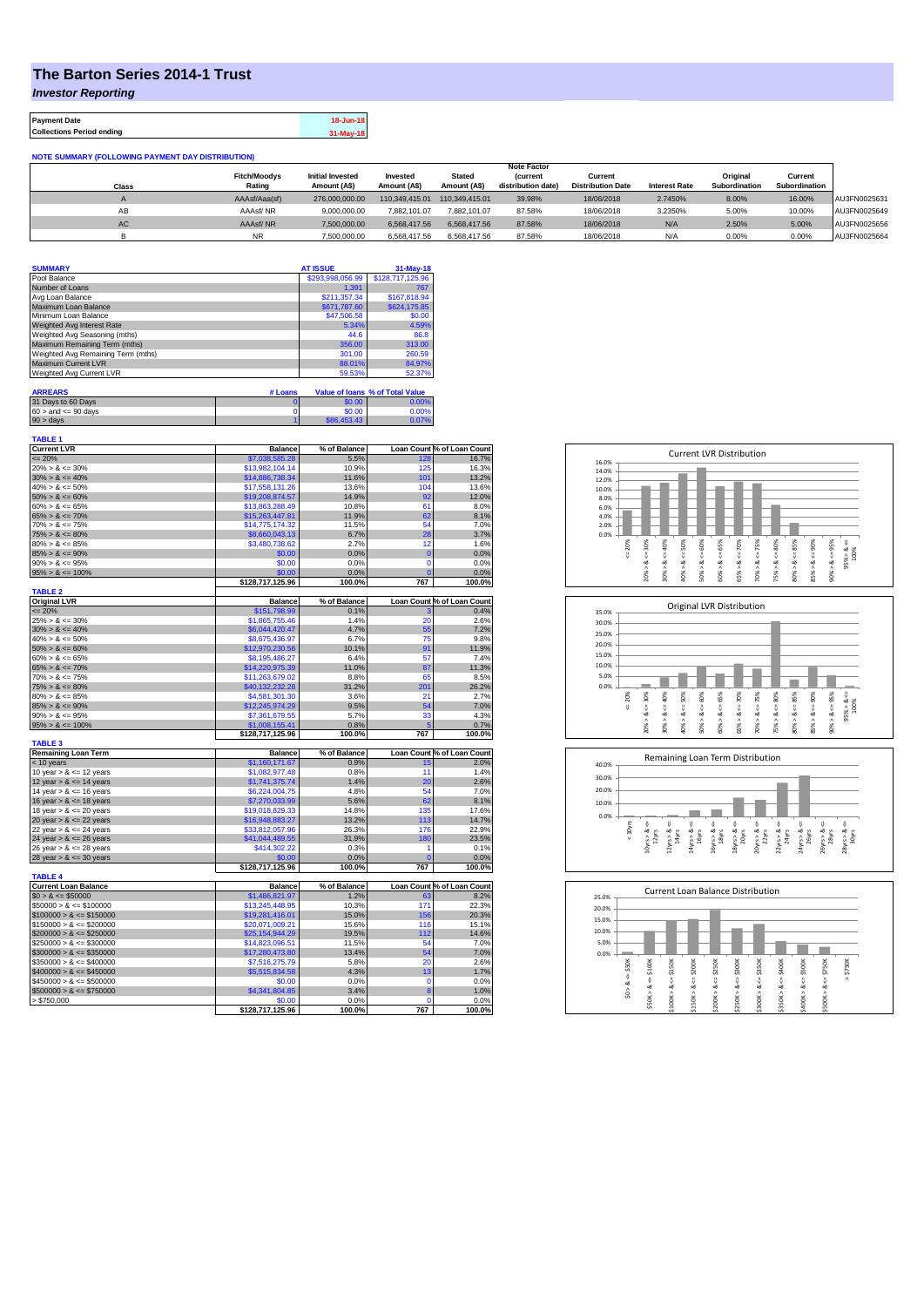## **The Barton Series 2014-1 Trust**

*Investor Reporting*

**Payment Date 18-Jun-18 Collections Period ending 31-May-18**

| <b>NOTE SUMMARY (FOLLOWING PAYMENT DAY DISTRIBUTION)</b> |  |
|----------------------------------------------------------|--|
|                                                          |  |

|              |                     |                         |                |                | <b>Note Factor</b> |                          |                      |               |               |              |
|--------------|---------------------|-------------------------|----------------|----------------|--------------------|--------------------------|----------------------|---------------|---------------|--------------|
|              | <b>Fitch/Moodvs</b> | <b>Initial Invested</b> | Invested       | <b>Stated</b>  | <b>(current</b>    | Current                  |                      | Original      | Current       |              |
| <b>Class</b> | Rating              | Amount (A\$)            | Amount (A\$)   | Amount (A\$)   | distribution date) | <b>Distribution Date</b> | <b>Interest Rate</b> | Subordination | Subordination |              |
|              | AAAsf/Aaa(sf)       | 276.000.000.00          | 110.349.415.01 | 110.349.415.01 | 39.98%             | 18/06/2018               | 2.7450%              | 8.00%         | 16.00%        | AU3FN0025631 |
| AB           | AAAsf/NR            | 9.000.000.00            | 7.882.101.07   | 7.882.101.07   | 87.58%             | 18/06/2018               | 3.2350%              | 5.00%         | 10.00%        | AU3FN0025649 |
| AC.          | AAAsf/NR            | 7,500,000.00            | 6.568.417.56   | 6.568.417.56   | 87.58%             | 18/06/2018               | N/A                  | 2.50%         | 5.00%         | AU3FN0025656 |
|              | <b>NR</b>           | 7.500.000.00            | 6.568.417.56   | 6.568.417.56   | 87.58%             | 18/06/2018               | N/A                  | 0.00%         | 0.00%         | AU3FN0025664 |

| <b>SUMMARY</b>                     |         | <b>AT ISSUE</b>  | $31-May-18$                     |
|------------------------------------|---------|------------------|---------------------------------|
| Pool Balance                       |         | \$293,998,056.99 | \$128,717,125.96                |
| Number of Loans                    |         | 1.391            | 767                             |
| Avg Loan Balance                   |         | \$211.357.34     | \$167,818.94                    |
| Maximum Loan Balance               |         | \$671,787.60     | \$624,175.85                    |
| Minimum Loan Balance               |         | \$47,506.58      | \$0.00                          |
| Weighted Avg Interest Rate         |         | 5.34%            | 4.59%                           |
| Weighted Avg Seasoning (mths)      |         | 44.6             | 86.8                            |
| Maximum Remaining Term (mths)      |         | 356.00           | 313.00                          |
| Weighted Avg Remaining Term (mths) |         | 301.00           | 260.59                          |
| <b>Maximum Current LVR</b>         |         | 88.01%           | 84.97%                          |
| Weighted Avg Current LVR           |         | 59.53%           | 52.37%                          |
|                                    |         |                  |                                 |
| <b>ARREARS</b>                     | # Loans |                  | Value of Ioans % of Total Value |
|                                    |         | .                |                                 |

| 31 Days to 60 Days        | \$0.00      | $7.00\%$ |
|---------------------------|-------------|----------|
| $60 >$ and $\leq 90$ days | \$0.00      | 0.00%    |
| $90 > \text{days}$        | \$86,453,43 | 0.07%    |

| <b>TABLE 1</b><br><b>Current LVR</b>       | <b>Balance</b>   | % of Balance         |             | Loan Count % of Loan Count |
|--------------------------------------------|------------------|----------------------|-------------|----------------------------|
|                                            |                  |                      |             |                            |
| $= 20%$                                    | \$7,038,585.28   | 5.5%                 | 128         | 16.7%                      |
| $20\% > 8 \le 30\%$<br>$30\% > 8 \le 40\%$ | \$13,982,104.14  | 10.9%                | 125         | 16.3%                      |
|                                            | \$14,886,738.34  | 11.6%                | 101         | 13.2%                      |
| $40\% > 8 \le 50\%$                        | \$17,558,131.26  | 13.6%                | 104         | 13.6%                      |
| $50\% > 8 \le 60\%$                        | \$19,208,874.57  | 14.9%                | 92          | 12.0%                      |
| $60\% > 8 \le 65\%$                        | \$13,863,288.49  | 10.8%                | 61          | 8.0%                       |
| $65\% > 8 \le 70\%$                        | \$15,263,447.81  | 11.9%                | 62          | 8.1%                       |
| $70\% > 8 \le 75\%$                        | \$14,775,174.32  | 11.5%                | 54          | 7.0%                       |
| $75\% > 8 \le 80\%$                        | \$8,660,043.13   | 6.7%                 | 28          | 3.7%                       |
| $80\% > 8 \le 85\%$                        | \$3,480,738.62   | 2.7%                 | 12          | 1.6%                       |
| $85\% > 8 \le 90\%$                        | \$0.00           | 0.0%                 | $\mathbf 0$ | 0.0%                       |
| $90\% > 8 \le 95\%$                        | \$0.00           | 0.0%                 | $\mathbf 0$ | 0.0%                       |
| $95\% > 8 \le 100\%$                       | \$0.00           | 0.0%                 |             | 0.0%                       |
|                                            | \$128,717,125.96 | 100.0%               | 767         | 100.0%                     |
| <b>TABLE 2</b>                             |                  |                      |             |                            |
| <b>Original LVR</b><br>$= 20%$             | <b>Balance</b>   | % of Balance<br>0.1% |             | Loan Count % of Loan Count |
|                                            | \$151,798.99     |                      |             | 0.4%                       |
| $25\% > 8 \le 30\%$                        | \$1,865,755.46   | 1.4%                 | 20          | 2.6%                       |
| $30\% > 8 \le 40\%$                        | \$6,044,420.47   | 4.7%                 | 55          | 7.2%                       |
| $40\% > 8 \le 50\%$                        | \$8,675,436.97   | 6.7%                 | 75          | 9.8%                       |
| $50\% > 8 \le 60\%$                        | \$12,970,230.56  | 10.1%                | 91          | 11.9%                      |
| $60\% > 8 \le 65\%$                        | \$8,195,486.27   | 6.4%                 | 57          | 7.4%                       |
| $65\% > 8 \le 70\%$                        | \$14,220,975.39  | 11.0%                | 87          | 11.3%                      |
| $70\% > 8 \le 75\%$                        | \$11,263,679.02  | 8.8%                 | 65          | 8.5%                       |
| $75\% > 8 \le 80\%$                        | \$40,132,232.28  | 31.2%                | 201         | 26.2%                      |
| $80\% > 8 \le 85\%$                        | \$4,581,301.30   | 3.6%                 | 21          | 2.7%                       |
| $85\% > 8 \le 90\%$                        | \$12,245,974.29  | 9.5%                 | 54          | 7.0%                       |
| $90\% > 8 \le 95\%$                        | \$7,361,679.55   | 5.7%                 | 33          | 4.3%                       |
| $95\% > 8 \le 100\%$                       | \$1,008,155.41   | 0.8%                 |             | 0.7%                       |
|                                            | \$128,717,125.96 | 100.0%               | 767         | 100.0%                     |
| <b>TABLE 3</b>                             | <b>Balance</b>   | % of Balance         |             | Loan Count % of Loan Count |
| <b>Remaining Loan Term</b><br>< 10 years   | \$1,160,171.67   | 0.9%                 |             | 2.0%                       |
| 10 year $> 8 \le 12$ years                 | \$1,082,977.48   | 0.8%                 | 15<br>11    | 1.4%                       |
|                                            |                  | 1.4%                 | 20          | 2.6%                       |
| 12 year $> 8 \le 14$ years                 | \$1,741,375.74   |                      | 54          |                            |
| 14 year $> 8 \le 16$ years                 | \$6,224,004.75   | 4.8%                 |             | 7.0%                       |
| 16 year $> 8 \le 18$ years                 | \$7,270,033.99   | 5.6%                 | 62          | 8.1%                       |
| 18 year $> 8 \le 20$ years                 | \$19,018,829.33  | 14.8%                | 135         | 17.6%                      |
| 20 year $> 8 \le 22$ years                 | \$16,948,883.27  | 13.2%                | 113         | 14.7%                      |
| 22 year $> 8 \le 24$ years                 | \$33,812,057.96  | 26.3%                | 176         | 22.9%                      |
| 24 year $> 8 \le 26$ years                 | \$41,044,489.55  | 31.9%                | 180         | 23.5%                      |
| 26 year $> 8 \le 28$ years                 | \$414,302.22     | 0.3%                 | 1           | 0.1%                       |
| 28 year $> 8 \le 30$ years                 | \$0.00           | 0.0%                 | C           | 0.0%                       |
| <b>TABLE 4</b>                             | \$128,717,125.96 | 100.0%               | 767         | 100.0%                     |
| <b>Current Loan Balance</b>                | <b>Balance</b>   | % of Balance         |             | Loan Count % of Loan Count |
| $$0 > 8 \le $50000$                        | \$1,486,821.97   | 1.2%                 | 63          | 8.2%                       |
| $$50000 > 8 \le $100000$                   | \$13,245,448.95  | 10.3%                | 171         | 22.3%                      |
|                                            |                  |                      |             |                            |
| $$100000 > 8 \le $150000$                  | \$19,281,416.01  | 15.0%                | 156         | 20.3%                      |
| $$150000 > 8 \leq $200000$                 | \$20,071,009.21  | 15.6%                | 116         | 15.1%                      |
| $$200000 > 8 \leq $250000$                 | \$25,154,944.29  | 19.5%                | 112         | 14.6%                      |
| $$250000 > 8 \leq $300000$                 | \$14,823,096.51  | 11.5%                | 54          | 7.0%                       |
| $$300000 > 8 \leq $350000$                 | \$17,280,473.80  | 13.4%                | 54          | 7.0%                       |
| $$350000 > 8 \le $400000$                  | \$7,516,275.79   | 5.8%                 | 20          | 2.6%                       |
| $$400000 > 8 \leq $450000$                 | \$5,515,834.58   | 4.3%                 | 13          | 1.7%                       |
| $$450000 > 8 \le $500000$                  | \$0.00           | 0.0%                 | $\mathbf 0$ | 0.0%                       |
| $$500000 > 8 \le $750000$                  | \$4,341,804.85   | 3.4%                 | 8           | 1.0%                       |
| > \$750,000                                | \$0.00           | 0.0%                 | $\Omega$    | 0.0%                       |
|                                            | \$128,717,125.96 | 100.0%               | 767         | 100.0%                     |







| 25.0% |                      |        |        |        |        | Current Loan Balance Distribution |        |        |        |         |        |
|-------|----------------------|--------|--------|--------|--------|-----------------------------------|--------|--------|--------|---------|--------|
| 20.0% |                      |        |        |        |        |                                   |        |        |        |         |        |
| 15.0% |                      |        |        |        |        |                                   |        |        |        |         |        |
| 10.0% |                      |        |        |        |        |                                   |        |        |        |         |        |
| 5.0%  |                      |        |        |        |        |                                   |        |        |        |         |        |
| 0.0%  |                      |        |        |        |        |                                   |        |        |        |         |        |
|       | \$50K                | \$100K | \$150K | \$200K | \$250K | \$300K                            | \$350K | \$400K | \$500K | \$750K  | \$750K |
|       | $\frac{1}{\sqrt{2}}$ | 8      |        | ő      | ΰ      |                                   |        | ű      |        | V       | Λ      |
|       | త                    | œ      | ü<br>œ | ∞      | œ      | ∞                                 | œ      | ಹ      | œ      | ∞       |        |
|       | $\hat{s}$            | ٨      | ۸      | ٨      | ۸      |                                   | Λ      | \$350K |        |         |        |
|       |                      | \$50K  | \$100K | \$150K | \$200K | \$250K>                           | \$300K |        | \$400K | \$500K> |        |